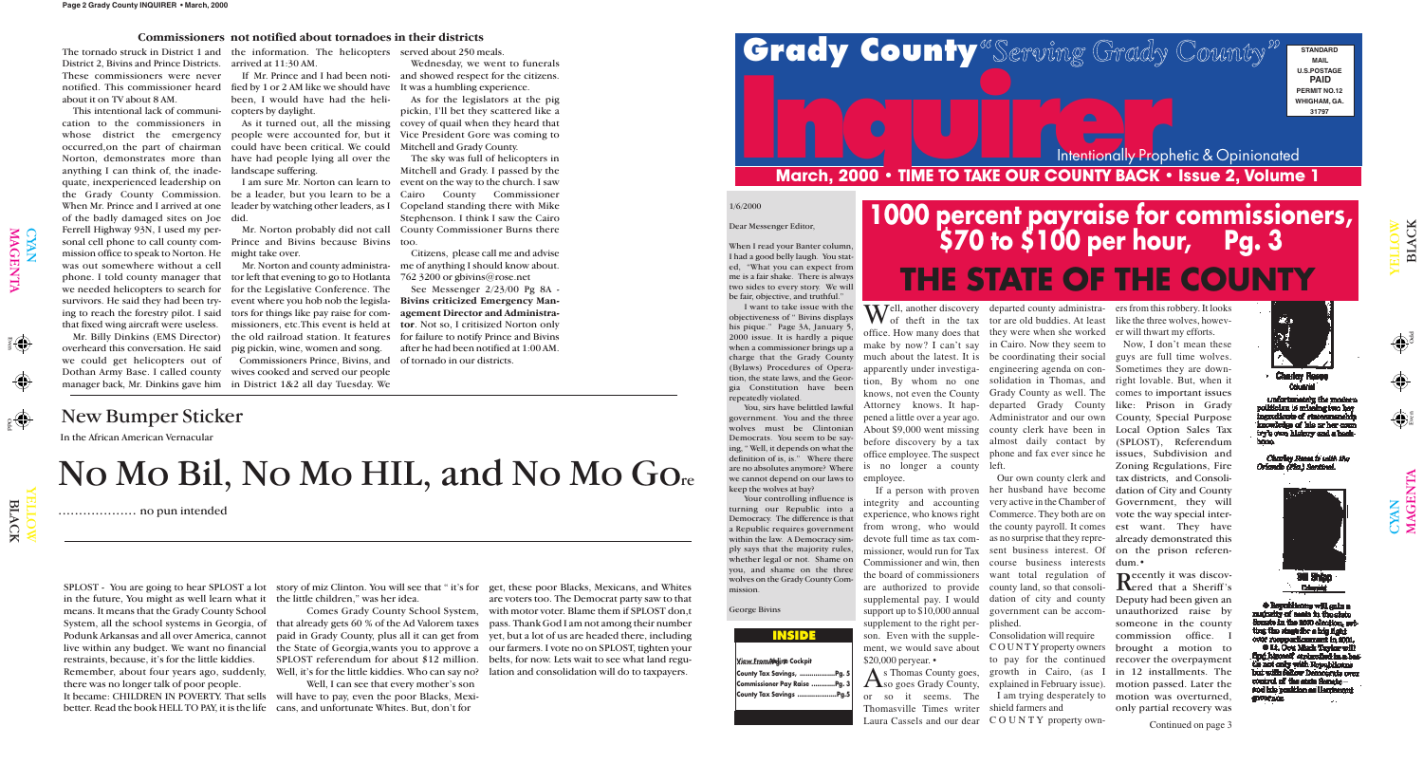Odd Even

 $\frac{1}{2}$ 

 $\Theta$ 

Odd

 $\mathbf{\Omega}$ 

YE  $\exists$  $\exists$ O  $\blacktriangleright$ 

LAC

 $\overline{\mathbf{X}}$ 

YE  $\blacksquare$ L O W

 $\Xi$ 

LAC

K

 $\bigcap$ 

CYAN<br>MAGI

 $\overline{\mathbf{E}}$  ${\bf Z}$  $\blacktriangleright$ 

1/6/2000

Dear Messenger Editor,

You, sirs have belittled lawful government. You and the three wolves must be Clintonian Democrats. You seem to be saying, " Well, it depends on what the definition of is, is." Where there are no absolutes anymore? Where we cannot depend on our laws to keep the wolves at bay?

When I read your Banter column, I had a good belly laugh. You stated, "What you can expect from me is a fair shake. There is always two sides to every story. We will be fair, objective, and truthful."

I want to take issue with the objectiveness of " Bivins displays his pique." Page 3A, January 5, 2000 issue. It is hardly a pique when a commissioner brings up a charge that the Grady County (Bylaws) Procedures of Operation, the state laws, and the Georgia Constitution have been repeatedly violated.

# **INCREASE AND REFRESH SERVICE A COUNTY BACK • ISSUE 2, Volume 1**<br>
March, 2000 • TIME TO TAKE OUR COUNTY BACK • Issue 2, Volume 1 Intentionally Prophetic & Opinionated

in the future, You might as well learn what it the little children," was her idea. means. It means that the Grady County School restraints, because, it's for the little kiddies. Remember, about four years ago, suddenly, there was no longer talk of poor people. It became: CHILDREN IN POVERTY. That sells will have to pay, even the poor Blacks, Mexibetter. Read the book HELL TO PAY, it is the life cans, and unfortunate Whites. But, don't for

Your controlling influence is turning our Republic into a Democracy. The difference is that a Republic requires government within the law. A Democracy simply says that the majority rules, whether legal or not. Shame on you, and shame on the three wolves on the Grady County Commission.

**Commi**  $\sf{Couriv}$ 

# Grady County <sup>& Serving Grady County<sup>"</sup> FINDARD</sup>

George Bivins

# New Bumper Sticker

SPLOST - You are going to hear SPLOST a lot story of miz Clinton. You will see that " it's for get, these poor Blacks, Mexicans, and Whites

System, all the school systems in Georgia, of that already gets 60 % of the Ad Valorem taxes pass. Thank God I am not among their number Podunk Arkansas and all over America, cannot paid in Grady County, plus all it can get from yet, but a lot of us are headed there, including live within any budget. We want no financial  $\;$  the State of Georgia,wants you to approve a  $\;$  our farmers. I vote no on SPLOST, tighten your Comes Grady County School System, with motor voter. Blame them if SPLOST don,t SPLOST referendum for about \$12 million. belts, for now. Lets wait to see what land reguare voters too. The Democrat party saw to that

Well, I can see that every mother's son

Well, it's for the little kiddies. Who can say no? lation and consolidation will do to taxpayers.

I am sure Mr. Norton can learn to – event on the way to the church. I saw Mr. Norton probably did not call County Commissioner Burns there The sky was full of helicopters in Mitchell and Grady. I passed by the County Commissioner Stephenson. I think I saw the Cairo

### **View FromAirline Cockpit ..................Pg. 7**

| County Tax Savings, Pg. 5    |  |
|------------------------------|--|
| Commissioner Pay Raise Pg. 3 |  |
| County Tax Savings Pg.5      |  |

In the African American Vernacular

# No Mo Bil, No Mo HIL, and No Mo Gore

................... no pun intended

The tornado struck in District 1 and the information. The helicopters served about 250 meals. District 2, Bivins and Prince Districts. arrived at 11:30 AM. These commissioners were never notified. This commissioner heard fied by 1 or 2 AM like we should have It was a humbling experience. about it on TV about 8 AM.

> Well, another discovery<br>of theft in the tax make by now? I can't say in Cairo. Now they seem to much about the latest. It is be coordinating their social apparently under investiga-engineering agenda on contion, By whom no one solidation in Thomas, and pened a little over a year ago. About \$9,000 went missing county clerk have been in before discovery by a tax almost daily contact by office employee. The suspect is no longer a county left. employee.

whose district the emergency people were accounted for, but it Vice President Gore was coming to landscape suffering.

> As Thomas County goes,<br>
> So goes Grady County, or so it seems. The Thomasville Times writer shield farmers and

This intentional lack of communi-copters by daylight. cation to the commissioners in occurred,on the part of chairman could have been critical. We could Norton, demonstrates more than have had people lying all over the anything I can think of, the inadequate, inexperienced leadership on the Grady County Commission. be a leader, but you learn to be a When Mr. Prince and I arrived at one leader by watching other leaders, as I Copeland standing there with Mike of the badly damaged sites on Joe did. Ferrell Highway 93N, I used my personal cell phone to call county commission office to speak to Norton. He might take over. was out somewhere without a cell phone. I told county manager that tor left that evening to go to Hotlanta we needed helicopters to search for for the Legislative Conference. The ing to reach the forestry pilot. I said tors for things like pay raise for com-

been, I would have had the heli-

I am trying desperately to motion was overturned, Recently it was discov-<br>Rered that a Sheriff's Deputy had been given an unauthorized raise by someone in the county commission office. brought a motion to recover the overpayment in 12 installments. The motion passed. Later the only partial recovery was

overheard this conversation. He said we could get helicopters out of Commissioners Prince, Bivins, and of tornado in our districts. Dothan Army Base. I called county wives cooked and served our people

manager back, Mr. Dinkins gave him in District 1&2 all day Tuesday. We

If Mr. Prince and I had been noti-and showed respect for the citizens. Wednesday, we went to funerals

Mr. Norton and county administrapig pickin, wine, women and song.

As it turned out, all the missing covey of quail when they heard that As for the legislators at the pig pickin, I'll bet they scattered like a Mitchell and Grady County.

survivors. He said they had been try-event where you hob nob the legisla-**Bivins criticized Emergency Man**that fixed wing aircraft were useless. missioners, etc.This event is held at **tor**. Not so, I critisized Norton only Mr. Billy Dinkins (EMS Director) the old railroad station. It features for failure to notify Prince and Bivins See Messenger 2/23/00 Pg 8A **agement Director and Administra**after he had been notified at 1:00 AM.

Prince and Bivins because Bivins too.

Citizens, please call me and advise me of anything I should know about. 762 3200 or gbivins@rose.net

### **Commissioners not notified about tornadoes in their districts**

**STANDARD MAIL U.S.POSTAGE PAID PERMIT NO.12 WHIGHAM, GA. 31797**

integrity and accounting very active in the Chamber of experience, who knows right Commerce. They both are on from wrong, who would missioner, would run for Tax sent business interest. Of Commissioner and win, then the board of commissioners want total regulation of are authorized to provide county land, so that consolisupplemental pay. I would dation of city and county support up to \$10,000 annual supplement to the right per-plished. son. Even with the supple-Consolidation will require ment, we would save about COUNTY property owners \$20,000 peryear. •

If a person with proven her husband have become devote full time as tax com-as no surprise that they repre-already demonstrated this Our own county clerk and the county payroll. It comes course business interests government can be accom-

office. How many does that they were when she worked er will thwart my efforts. knows, not even the County Grady County as well. The comes to important issues Attorney knows. It hap-departed Grady County like: Prison in Grady departed county administrator are old buddies. At least Administrator and our own phone and fax ever since he issues, Subdivision and

Laura Cassels and our dear C O U N T Y property ownto pay for the continued growth in Cairo, (as I explained in February issue).

ers from this robbery. It looks like the three wolves, howev-

Now, I don't mean these guys are full time wolves. Sometimes they are downright lovable. But, when it County, Special Purpose Local Option Sales Tax (SPLOST), Referendum Zoning Regulations, Fire tax districts, and Consolidation of City and County Government, they will vote the way special interest want. They have on the prison referendum.•



**Charley Roops** 

unfortunately the modern oliticima is missing two key ingredients of statesmand knowledge of lais or her coun try's own history and a hack-

**Charley Roses to with the** Orlando (Fla.) Sentinel.



**Columbia** 

+ Republicans will gain a mularity of mats in the state Senate in the 2000 election, set ting the single for a hig fight over recoperties ment in 2001.

O Lt. Oou Mark Taylor will tie not only with Republicans but with fallow Democrats over control of the state Senate stod interpretation as Harrismand **SUPPORTION** 

 $\bigoplus$ 

# **1000 percent payraise for commissioners, \$70 to \$100 per hour, Pg. 3 THE STATE OF THE COUNTY**

**INSIDE**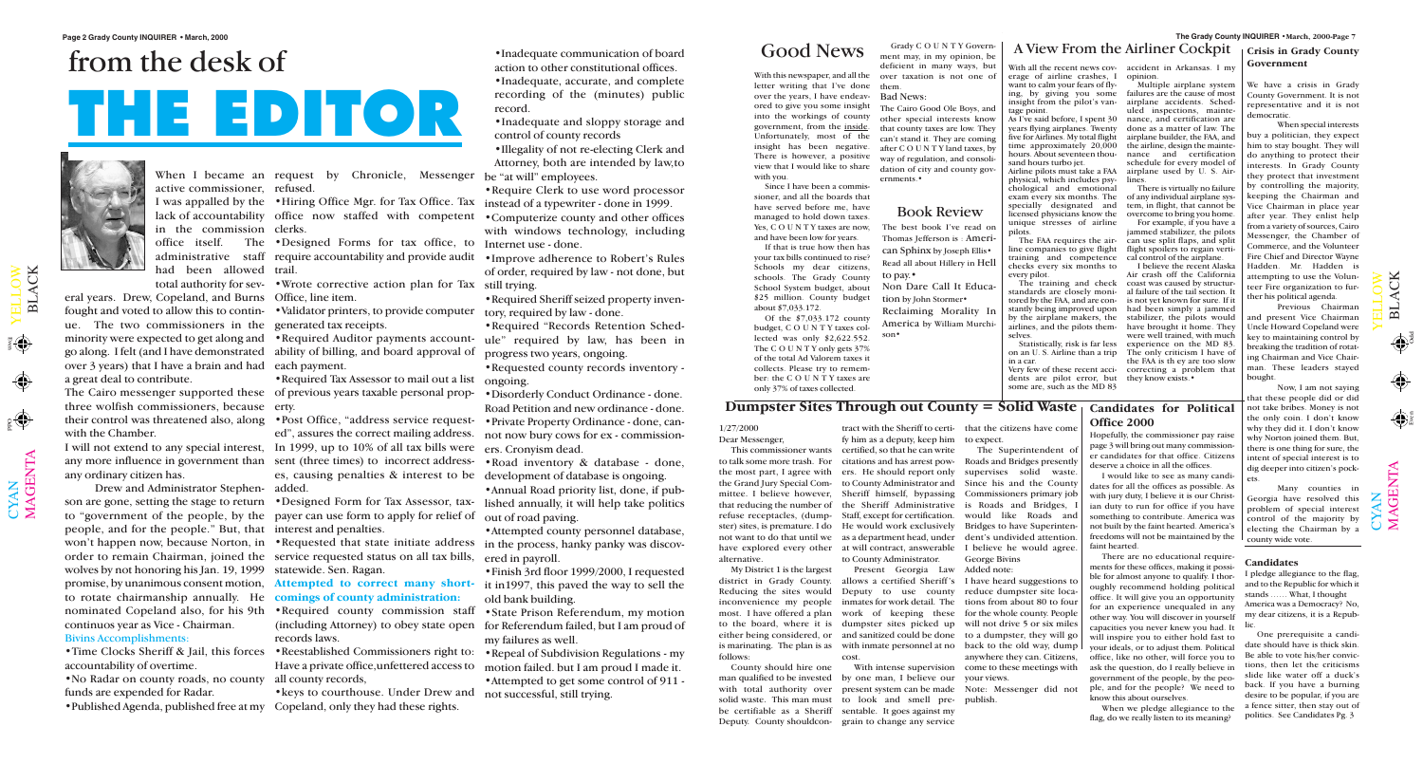With this newspaper, and all the letter writing that I've done over the years, I have endeavored to give you some insight into the workings of county government, from the inside. Unfortunately, most of the insight has been negative. There is however, a positive view that I would like to share with you.

Since I have been a commissioner, and all the boards that have served before me, have managed to hold down taxes. Yes, C O U N T Y taxes are now, and have been low for years.

If that is true how then has your tax bills continued to rise? Schools my dear citizens, schools. The Grady County School System budget, about \$25 million. County budget about \$7,033.172.

Of the \$7,033.172 county budget, C O U N T Y taxes collected was only \$2,622.552. The C O U N T Y only gets  $37%$ of the total Ad Valorem taxes it collects. Please try to remember: the C O U N T Y taxes are only 37% of taxes collected.

Grady C O U N T Y Government may, in my opinion, be deficient in many ways, but over taxation is not one of them.

Bad News:

The Cairo Good Ole Boys, and other special interests know that county taxes are low. They can't stand it. They are coming after C O U N T Y land taxes, by way of regulation, and consolidation of city and county governments.•

With all the recent news coverage of airline crashes, I want to calm your fears of flying, by giving you some insight from the pilot's vantage point.

As I've said before, I spent 30 years flying airplanes. Twenty five for Airlines. My total flight time approximately 20,000 hours. About seventeen thousand hours turbo jet.

Airline pilots must take a FAA physical, which includes psychological and emotional exam every six months. The specially designated and licensed physicians know the unique stresses of airline pilots.

The FAA requires the airline companies to give flight training and competence checks every six months to every pilot.

The training and check standards are closely monitored by the FAA, and are constantly being improved upon by the airplane makers, the airlines, and the pilots themselves.

Statistically, risk is far less on an U. S. Airline than a trip in a car.

dents are pilot error, but some are, such as the MD 83

accident in Arkansas. I my opinion.

Multiple airplane system failures are the cause of most airplane accidents. Scheduled inspections, maintenance, and certification are done as a matter of law. The airplane builder, the FAA, and the airline, design the maintenance and certification schedule for every model of airplane used by U. S. Airlines.

There is virtually no failure of any individual airplane system, in flight, that cannot be overcome to bring you home.

Very few of these recent acci-correcting a problem that I believe the recent Alaska Air crash off the California coast was caused by structural failure of the tail section. It is not yet known for sure. If it had been simply a jammed stabilizer, the pilots would have brought it home. They were well trained, with much experience on the MD 83. The only criticism I have of the FAA is th ey are too slow they know exists.•

For example, if you have a jammed stabilizer, the pilots can use split flaps, and split flight spoilers to regain vertical control of the airplane.

> M $\blacktriangleleft$ G $\blacksquare$  $\mathsf{Z}$  $\boldsymbol{\mathsf{\Xi}}$

 $\mathbf{\Xi}$  $\overline{\phantom{0}}$  $\blacktriangleleft$ C K

 $\mathbf{\Omega}$  $\overline{\phantom{0}}$  $\blacktriangleleft$ C K

 $\mathbf{\Sigma}% _{T}=\mathbf{\Sigma}_{T}\times\mathbf{2}^{T}$  $\blacktriangleleft$ G  $\bf \Xi$  $\bm{\mathsf{Z}}$  $\boldsymbol{\Xi}$ 

## Book Review

The best book I've read on Thomas Jefferson is : American Sphinx by Joseph Ellis• Read all about Hillery in Hell to pay.• Non Dare Call It Educa-

tion by John Stormer• Reclaiming Morality In America by William Murchison•

# Good News  $\frac{Grady CO UN TY Govern}{mert may in my online he}$  A View From the Airliner Cockpit

## **Dumpster Sites Through out County = Solid Waste**

1/27/2000 Dear Messenger, to talk some more trash. For the most part, I agree with the Grand Jury Special Committee. I believe however, that reducing the number of refuse receptacles, (dumpalternative.

My District 1 is the largest district in Grady County. follows:

This commissioner wants certified, so that he can write ster) sites, is premature. I do He would work exclusively not want to do that until we as a department head, under have explored every other at will contract, answerable fy him as a deputy, keep him citations and has arrest powers. He should report only to County Administrator and Sheriff himself, bypassing Staff, except for certification. to County Administrator.

County should hire one

Reducing the sites would Deputy to use county inconvenience my people inmates for work detail. The most. I have offered a plan work of keeping these to the board, where it is dumpster sites picked up either being considered, or and sanitized could be done to a dumpster, they will go is marinating. The plan is as with inmate personnel at no back to the old way, dump Present Georgia Law allows a certified Sheriff's cost.

man qualified to be invested by one man, I believe our with total authority over present system can be made solid waste. This man must to look and smell prebe certifiable as a Sheriff sentable. It goes against my Deputy. County shouldcon-grain to change any service With intense supervision

tract with the Sheriff to certi-that the citizens have come to expect.

the Sheriff Administrative is Roads and Bridges, I The Superintendent of Roads and Bridges presently supervises solid waste. Since his and the County Commissioners primary job would like Roads and Bridges to have Superintendent's undivided attention. I believe he would agree. George Bivins

Added note:

I have heard suggestions to reduce dumpster site locations from about 80 to four for the whole county. People will not drive 5 or six miles anywhere they can. Citizens, come to these meetings with your views.

Note: Messenger did not publish.

Odd

Even

Odd Even

eral years. Drew, Copeland, and Burns Office, line item. fought and voted to allow this to contin-•Validator printers, to provide computer tory, required by law - done. ue. The two commissioners in the generated tax receipts. go along. I felt (and I have demonstrated ability of billing, and board approval of over 3 years) that I have a brain and had each payment. a great deal to contribute.

The Cairo messenger supported these of previous years taxable personal propthree wolfish commissioners, because erty. with the Chamber.

When I became an request by Chronicle, Messenger

any ordinary citizen has.

active commissioner, refused. in the commission clerks. had been allowed trail.

Drew and Administrator Stephen-added. to "government of the people, by the payer can use form to apply for relief of people, and for the people." But, that interest and penalties. order to remain Chairman, joined the service requested status on all tax bills, wolves by not honoring his Jan. 19, 1999 statewide. Sen. Ragan. promise, by unanimous consent motion, **Attempted to correct many short-**it in1997, this paved the way to sell the to rotate chairmanship annually. He **comings of county administration:** continuos year as Vice - Chairman. Bivins Accomplishments:

accountability of overtime.

•No Radar on county roads, no county all county records, funds are expended for Radar.

I was appalled by the •Hiring Office Mgr. for Tax Office. Tax instead of a typewriter - done in 1999.

lack of accountability office now staffed with competent •Computerize county and other offices with windows technology, including

office itself. The •Designed Forms for tax office, to Internet use - done. administrative staff require accountability and provide audit •Improve adherence to Robert's Rules

total authority for sev-•Wrote corrective action plan for Tax still trying.

nominated Copeland also, for his 9th •Required county commission staff records laws.

• Time Clocks Sheriff & Jail, this forces • Reestablished Commissioners right to: • Repeal of Subdivision Regulations - my

minority were expected to get along and •Required Auditor payments account-ule" required by law, has been in •Required "Records Retention Schedprogress two years, ongoing.

•Published Agenda, published free at my Copeland, only they had these rights.

their control was threatened also, along •Post Office, "address service request-•Private Property Ordinance - done, caned", assures the correct mailing address. not now bury cows for ex - commission-•Disorderly Conduct Ordinance - done. Road Petition and new ordinance - done.

I will not extend to any special interest, In 1999, up to 10% of all tax bills were ers. Cronyism dead. any more influence in government than sent (three times) to incorrect addresses, causing penalties & interest to be development of database is ongoing.

son are gone, setting the stage to return •Designed Form for Tax Assessor, tax-lished annually, it will help take politics •Annual Road priority list, done, if pubout of road paving.

won't happen now, because Norton, in •Requested that state initiate address in the process, hanky panky was discov-•Attempted county personnel database, ered in payroll.

•Required Tax Assessor to mail out a list ongoing.

•Inadequate communication of board action to other constitutional offices.

•Inadequate, accurate, and complete recording of the (minutes) public record.

•Inadequate and sloppy storage and control of county records

•Illegality of not re-electing Clerk and Attorney, both are intended by law,to be "at will" employees.

•Require Clerk to use word processor

of order, required by law - not done, but

•Required Sheriff seized property inven-

(including Attorney) to obey state open for Referendum failed, but I am proud of •State Prison Referendum, my motion my failures as well.

Have a private office,unfettered access to motion failed. but I am proud I made it. •Attempted to get some control of 911 -

•keys to courthouse. Under Drew and not successful, still trying.

•Requested county records inventory -

•Road inventory & database - done,

•Finish 3rd floor 1999/2000, I requested old bank building.

# from the desk of **THE EDITOR**



 $\bigcup$  $\bm{\mathsf{X}}$  $\mathsf{Z}_1$ 

 $\blacktriangleright$  $\blacksquare$  $\overline{\phantom{0}}$  $\overline{\phantom{0}}$  $\bigcirc$  $\geqslant$ 

(I)

## **Crisis in Grady County Government**

We have a crisis in Grady County Government. It is not representative and it is not democratic.

When special interests buy a politician, they expect him to stay bought. They will do anything to protect their interests. In Grady County they protect that investment by controlling the majority, keeping the Chairman and Vice Chairman in place year after year. They enlist help from a variety of sources, Cairo Messenger, the Chamber of Commerce, and the Volunteer Fire Chief and Director Wayne Hadden. Mr. Hadden is attempting to use the Volunteer Fire organization to further his political agenda.

Previous Chairman and present Vice Chairman Uncle Howard Copeland were key to maintaining control by breaking the tradition of rotating Chairman and Vice Chairman. These leaders stayed bought.

Now, I am not saying that these people did or did not take bribes. Money is not the only coin. I don't know why they did it. I don't know why Norton joined them. But, there is one thing for sure, the intent of special interest is to dig deeper into citizen's pockets.

Many counties in Georgia have resolved this problem of special interest control of the majority by electing the Chairman by a county wide vote.

 $\mathbf{\cup}$  $\bm{\mathsf{X}}$  $\mathsf{Z}$ 

 $\blacktriangleright$  $\blacksquare$  $\overline{\phantom{0}}$  $\overline{\phantom{0}}$  $\bigcirc$  $\geqslant$ 

## **Candidates for Political Office 2000**

Hopefully, the commissioner pay raise page 3 will bring out many commissioner candidates for that office. Citizens deserve a choice in all the offices.

I would like to see as many candidates for all the offices as possible. As with jury duty, I believe it is our Christian duty to run for office if you have something to contribute. America was not built by the faint hearted. America's freedoms will not be maintained by the faint hearted.

There are no educational requirements for these offices, making it possible for almost anyone to qualify. I thoroughly recommend holding political office. It will give you an opportunity for an experience unequaled in any other way. You will discover in yourself capacities you never knew you had. It will inspire you to either hold fast to your ideals, or to adjust them. Political office, like no other, will force you to ask the question, do I really believe in government of the people, by the people, and for the people? We need to know this about ourselves.

When we pledge allegiance to the flag, do we really listen to its meaning?

### **Candidates**

I pledge allegiance to the flag, and to the Republic for which it stands …… What, I thought America was a Democracy? No, my dear citizens, it is a Republic.

One prerequisite a candidate should have is thick skin. Be able to vote his/her convictions, then let the criticisms slide like water off a duck's back. If you have a burning desire to be popular, if you are a fence sitter, then stay out of politics. See Candidates Pg. 3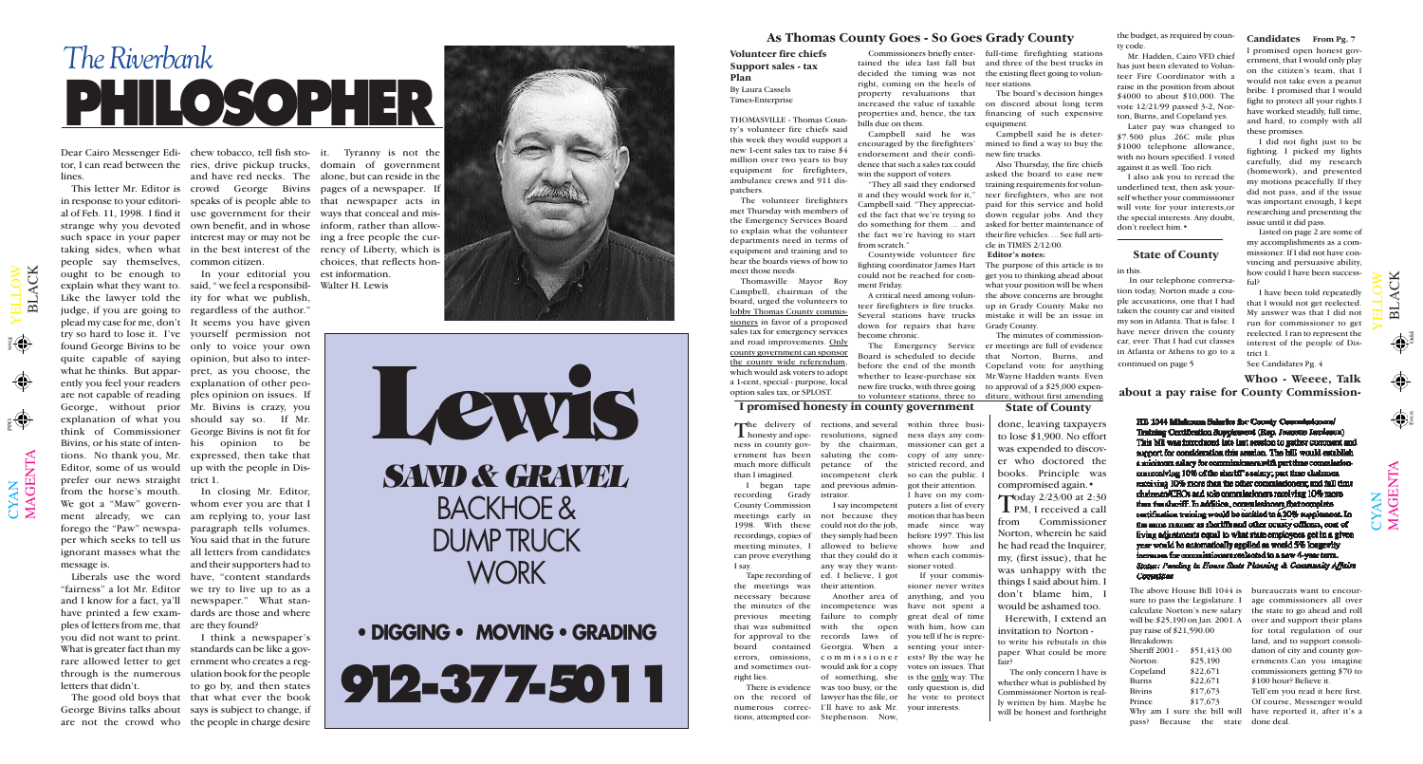$\mathbf{\Xi}$  $\overline{\phantom{0}}$  $\blacktriangleleft$ C K

 $\bigoplus$ 

**Co** 

HB 1044 Minkown Salaries for County Commissioners' Training Certification Supplement (Rep. Jeanette Jarolaum) This bill was introduced late last seation to gather comment and support for consideration this sendon. The bill would establish a minimum salary for commissionera with part time commissionmaneceiving 10% of the sheriff's salary; part time chairmen receiving 10% more than the other commissioners; and full time chrimmen/CBOs and solo commissioners receiving 10% mosts tion the shariff. In addition, commissioners that complete partification training would be entitled to a 20% supplement. In the same manner as shortfle and other county officers, cost of fiving adjustments equal to what state employees get in a given year would be antomatically applied as would 5% longevity increases for commissioners reclocted to a new 4-year term. Status: Panding to House State Plassing & Constructly Affairs Committee

 $\mathbf{\Xi}$  $\overline{\phantom{0}}$  $\blacktriangleleft$ C K

 $\mathbf{\Sigma}% _{T}=\mathbf{\Sigma}_{T}\times\mathbf{2}^{T}$  $\blacktriangleleft$ G  $\bf \Xi$  $\bm{\mathsf{Z}}$  $\boldsymbol{\Xi}$ 

Odd Even

# *The Riverbank* **PHILOSOPHER**

Dear Cairo Messenger Edi-chew tobacco, tell fish sto-it. Tyranny is not the lines.

people say themselves, common citizen. ought to be enough to In your editorial you est information. explain what they want to. said, " we feel a responsibil-Like the lawyer told the ity for what we publish, judge, if you are going to regardless of the author." plead my case for me, don't It seems you have given try so hard to lose it. I've yourself permission not found George Bivins to be only to voice your own quite capable of saying opinion, but also to interwhat he thinks. But appar-pret, as you choose, the ently you feel your readers explanation of other peoare not capable of reading ples opinion on issues. If George, without prior Mr. Bivins is crazy, you explanation of what you should say so. If Mr. think of Commissioner George Bivins is not fit for Bivins, or his state of inten-his opinion to be tions. No thank you, Mr. expressed, then take that Editor, some of us would up with the people in Disprefer our news straight trict 1. from the horse's mouth. In closing Mr. Editor, We got a "Maw" govern-whom ever you are that I ment already, we can am replying to, your last forego the "Paw" newspa-paragraph tells volumes. per which seeks to tell us You said that in the future ignorant masses what the all letters from candidates message is.

"fairness" a lot Mr. Editor we try to live up to as a and I know for a fact, ya'll newspaper." What stanhave printed a few exam-dards are those and where ples of letters from me, that are they found? you did not want to print. I think a newspaper's What is greater fact than my standards can be like a govrare allowed letter to get ernment who creates a regthrough is the numerous ulation book for the people letters that didn't.

 $\bigcup$  $\bm{\mathsf{X}}$  $\mathsf{Z}_\mathsf{I}$ 

 $\blacktriangleright$  $\blacksquare$  $\overline{\phantom{0}}$  $\overline{\phantom{0}}$  $\bigcirc$  $\geqslant$ 

 $\frac{1}{3}$ 

tor, I can read between the ries, drive pickup trucks, domain of government This letter Mr. Editor is crowd George Bivins pages of a newspaper. If in response to your editori-speaks of is people able to that newspaper acts in al of Feb. 11, 1998. I find it use government for their ways that conceal and misstrange why you devoted own benefit, and in whose inform, rather than allowsuch space in your paper interest may or may not be ing a free people the curtaking sides, when what in the best interest of the rency of Liberty, which is

Liberals use the word have, "content standards and their supporters had to

The good old boys that that what ever the book are not the crowd who the people in charge desire to go by, and then states

George Bivins talks about says is subject to change, if

and have red necks. The alone, but can reside in the choices, that reflects hon-Walter H. Lewis





# **• DIGGING • MOVING • GRADING**

**912-377-5011**

### **As Thomas County Goes - So Goes Grady County**

### **Volunteer fire chiefs Support sales - tax**

# **Plan**

By Laura Cassels Times-Enterprise

THOMASVILLE - Thomas County's volunteer fire chiefs said this week they would support a new 1-cent sales tax to raise \$4 million over two years to buy equipment for firefighters, ambulance crews and 911 dispatchers.

previous meeting failure to comply There is evidence was too busy, or the only question is, did on the record of lawyer has the file, or he vote to protect numerous correc-I'll have to ask Mr. your interests. tions, attempted cor-Stephenson. Now, Another area of incompetence was have not spent a with the open records laws of Georgia. When a senting your intercommissioner ests? By the way he would ask for a copy of something, she is the only way. The

The volunteer firefighters met Thursday with members of the Emergency Services Board to explain what the volunteer departments need in terms of equipment and training and to hear the boards views of how to meet those needs.

The delivery of rections, and several within three busi-<br>honesty and ope- resolutions, signed ness days any comrections, and several within three busimissioner can get a stricted record, and so can the public. I got their attention. I have on my computers a list of every

tained the idea last fall but and three of the best trucks in decided the timing was not the existing fleet going to volunright, coming on the heels of teer stations. property revaluations that increased the value of taxable on discord about long term properties and, hence, the tax bills due on them.

Campbell said he was encouraged by the firefighters' endorsement and their confidence that such a sales tax could win the support of voters.

"They all said they endorsed it and they would work for it," Campbell said. "They appreciated the fact that we're trying to do something for them ... and the fact we're having to start from scratch."

Commissioners briefly enter-full-time firefighting stations

Countywide volunteer fire fighting coordinator James Hart could not be reached for comment Friday.

A critical need among volunteer firefighters is fire trucks. Several stations have trucks down for repairs that have become chronic.

The board's decision hinges financing of such expensive equipment.

Campbell said he is determined to find a way to buy the new fire trucks.

The Emergency Service Board is scheduled to decide before the end of the month whether to lease-purchase six Mr.Wayne Hadden wants. Even new fire trucks, with three going to approval of a \$25,000 expen-

Also Thursday, the fire chiefs asked the board to ease new training requirements for volunteer firefighters, who are not paid for this service and hold down regular jobs. And they asked for better maintenance of their fire vehicles. ... See full article in TIMES 2/12/00.

to volunteer stations, three to diture, without first amending The minutes of commissioner meetings are full of evidence that Norton, Burns, and Copeland vote for anything

**Editor's notes:**

The purpose of this article is to get you to thinking ahead about what your position will be when the above concerns are brought up in Grady County. Make no mistake it will be an issue in Grady County.

Thomasville Mayor Roy Campbell, chairman of the board, urged the volunteers to lobby Thomas County commissioners in favor of a proposed sales tax for emergency services and road improvements. Only county government can sponsor the county wide referendum, which would ask voters to adopt a 1-cent, special - purpose, local option sales tax, or SPLOST. **I promised honesty in county government**

the budget, as required by county code.

Mr. Hadden, Cairo VFD chief has just been elevated to Volunteer Fire Coordinator with a raise in the position from about \$4000 to about \$10,000. The vote 12/21/99 passed 3-2, Norton, Burns, and Copeland yes.

Later pay was changed to \$7.500 plus .26C mile plus \$1000 telephone allowance, with no hours specified. I voted against it as well. Too rich.

I also ask you to reread the underlined text, then ask yourself whether your commissioner will vote for your interests,or the special interests. Any doubt, don't reelect him.•

ernment has been much more difficult than I imagined. recording Grady County Commission meetings early in 1998. With these recordings, copies of

I say.

ness in county gov-by the chairman, I began tape and previous adminsaluting the com-copy of any unrepetance of the incompetent clerk istrator.

the meetings was their attention. necessary because the minutes of the that was submitted for approval to the board contained errors, omissions, and sometimes out-

right lies.

meeting minutes, I allowed to believe shows how and can prove everything that they could do it Tape recording of ed. I believe, I got I say incompetent not because they could not do the job, any way they want-

they simply had been before 1997. This list motion that has been made since way when each commissioner voted.

If your commissioner never writes anything, and you great deal of time with him, how can you tell if he is reprevotes on issues. That in this.

### **State of County**

### **State of County**

**Whoo - Weeee, Talk**

**about a pay raise for County Commission-**

 $\bigcup$  $\bm{\mathsf{X}}$  $\mathbf{Z}_1$ 

 $\boldsymbol{\Sigma}$  $\blacktriangleleft$ G  $\Xi$  $\boldsymbol{\mathsf{Z}}$  $\boldsymbol{\mathsf{\Xi}}$ 

 $\blacktriangleright$  $\blacksquare$  $\overline{\phantom{0}}$  $\overline{\phantom{0}}$  $\bigcirc$  $\geqslant$ 

The above House Bill 1044 is bureaucrats want to encoursure to pass the Legislature. I age commissioners all over calculate Norton's new salary will be:\$25,190 on Jan. 2001. A pay raise of \$21,590.00 Breakdown: Sheriff 2001 - \$51,413.00 Norton: \$25,190 Copeland \$22,671 Burns \$22,671 Bivins \$17,673 Prince \$17,673 Why am I sure the bill will pass? Because the state done deal.

the state to go ahead and roll over and support their plans for total regulation of our land, and to support consolidation of city and county governments.Can you imagine commissioners getting \$70 to \$100 hour? Believe it. Tell'em you read it here first. Of course, Messenger would

have reported it, after it's a

**Candidates From Pg. 7**

I promised open honest government, that I would only play on the citizen's team, that I would not take even a peanut bribe. I promised that I would fight to protect all your rights.I have worked steadily, full time, and hard, to comply with all these promises.

In our telephone conversation today, Norton made a couple accusations, one that I had taken the county car and visited my son in Atlanta. That is false. I have never driven the county car, ever. That I had cut classes in Atlanta or Athens to go to a continued on page 5

I did not fight just to be fighting. I picked my fights carefully, did my research (homework), and presented my motions peacefully. If they did not pass, and if the issue was important enough, I kept researching and presenting the issue until it did pass.

Listed on page 2 are some of my accomplishments as a commissioner. If I did not have convincing and persuasive ability, how could I have been successful?

I have been told repeatedly that I would not get reelected. My answer was that I did not run for commissioner to get reelected. I ran to represent the interest of the people of District 1.

See Candidates Pg. 4

done, leaving taxpayers to lose \$1,900. No effort was expended to discover who doctored the books. Principle was

compromised again.• Today 2/23/00 at 2:30<br>PM, I received a call from Commissioner Norton, wherein he said he had read the Inquirer, my, (first issue), that he was unhappy with the things I said about him. I don't blame him, I would be ashamed too.

Herewith, I extend an invitation to Norton to write his rebutals in this paper. What could be more fair?

The only concern I have is whether what is published by Commissioner Norton is really written by him. Maybe he will be honest and forthright